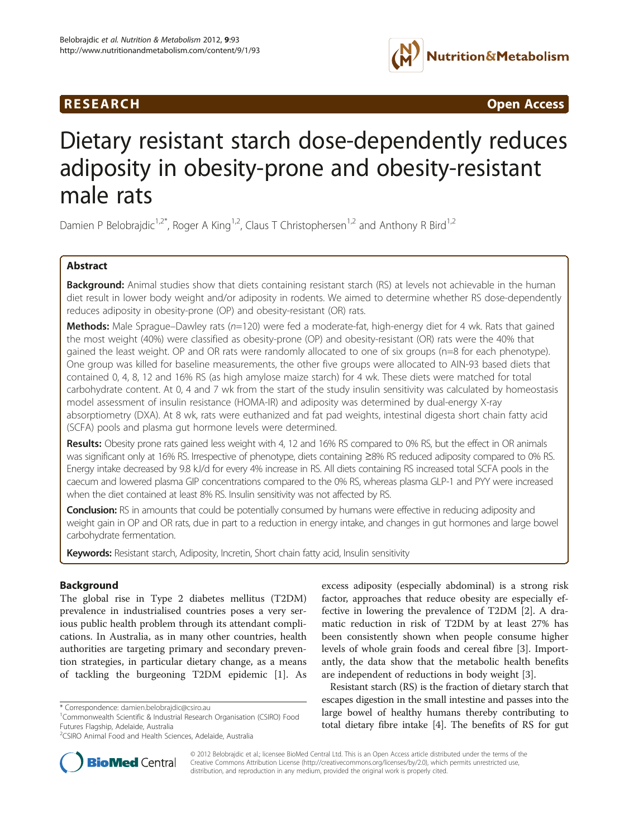# **RESEARCH CHINESEARCH CHINESEARCH CHINESE**



# Dietary resistant starch dose-dependently reduces adiposity in obesity-prone and obesity-resistant male rats

Damien P Belobrajdic<sup>1,2\*</sup>, Roger A King<sup>1,2</sup>, Claus T Christophersen<sup>1,2</sup> and Anthony R Bird<sup>1,2</sup>

# Abstract

Background: Animal studies show that diets containing resistant starch (RS) at levels not achievable in the human diet result in lower body weight and/or adiposity in rodents. We aimed to determine whether RS dose-dependently reduces adiposity in obesity-prone (OP) and obesity-resistant (OR) rats.

Methods: Male Sprague–Dawley rats (n=120) were fed a moderate-fat, high-energy diet for 4 wk. Rats that gained the most weight (40%) were classified as obesity-prone (OP) and obesity-resistant (OR) rats were the 40% that gained the least weight. OP and OR rats were randomly allocated to one of six groups (n=8 for each phenotype). One group was killed for baseline measurements, the other five groups were allocated to AIN-93 based diets that contained 0, 4, 8, 12 and 16% RS (as high amylose maize starch) for 4 wk. These diets were matched for total carbohydrate content. At 0, 4 and 7 wk from the start of the study insulin sensitivity was calculated by homeostasis model assessment of insulin resistance (HOMA-IR) and adiposity was determined by dual-energy X-ray absorptiometry (DXA). At 8 wk, rats were euthanized and fat pad weights, intestinal digesta short chain fatty acid (SCFA) pools and plasma gut hormone levels were determined.

Results: Obesity prone rats gained less weight with 4, 12 and 16% RS compared to 0% RS, but the effect in OR animals was significant only at 16% RS. Irrespective of phenotype, diets containing ≥8% RS reduced adiposity compared to 0% RS. Energy intake decreased by 9.8 kJ/d for every 4% increase in RS. All diets containing RS increased total SCFA pools in the caecum and lowered plasma GIP concentrations compared to the 0% RS, whereas plasma GLP-1 and PYY were increased when the diet contained at least 8% RS. Insulin sensitivity was not affected by RS.

**Conclusion:** RS in amounts that could be potentially consumed by humans were effective in reducing adiposity and weight gain in OP and OR rats, due in part to a reduction in energy intake, and changes in gut hormones and large bowel carbohydrate fermentation.

Keywords: Resistant starch, Adiposity, Incretin, Short chain fatty acid, Insulin sensitivity

# Background

The global rise in Type 2 diabetes mellitus (T2DM) prevalence in industrialised countries poses a very serious public health problem through its attendant complications. In Australia, as in many other countries, health authorities are targeting primary and secondary prevention strategies, in particular dietary change, as a means of tackling the burgeoning T2DM epidemic [[1\]](#page-9-0). As

excess adiposity (especially abdominal) is a strong risk factor, approaches that reduce obesity are especially effective in lowering the prevalence of T2DM [[2\]](#page-9-0). A dramatic reduction in risk of T2DM by at least 27% has been consistently shown when people consume higher levels of whole grain foods and cereal fibre [[3](#page-9-0)]. Importantly, the data show that the metabolic health benefits are independent of reductions in body weight [[3\]](#page-9-0).

Resistant starch (RS) is the fraction of dietary starch that escapes digestion in the small intestine and passes into the large bowel of healthy humans thereby contributing to total dietary fibre intake [[4](#page-9-0)]. The benefits of RS for gut



© 2012 Belobrajdic et al.; licensee BioMed Central Ltd. This is an Open Access article distributed under the terms of the Creative Commons Attribution License (<http://creativecommons.org/licenses/by/2.0>), which permits unrestricted use, distribution, and reproduction in any medium, provided the original work is properly cited.

<sup>\*</sup> Correspondence: [damien.belobrajdic@csiro.au](mailto:damien.belobrajdic@csiro.au) <sup>1</sup>

<sup>&</sup>lt;sup>1</sup> Commonwealth Scientific & Industrial Research Organisation (CSIRO) Food Futures Flagship, Adelaide, Australia

<sup>2</sup> CSIRO Animal Food and Health Sciences, Adelaide, Australia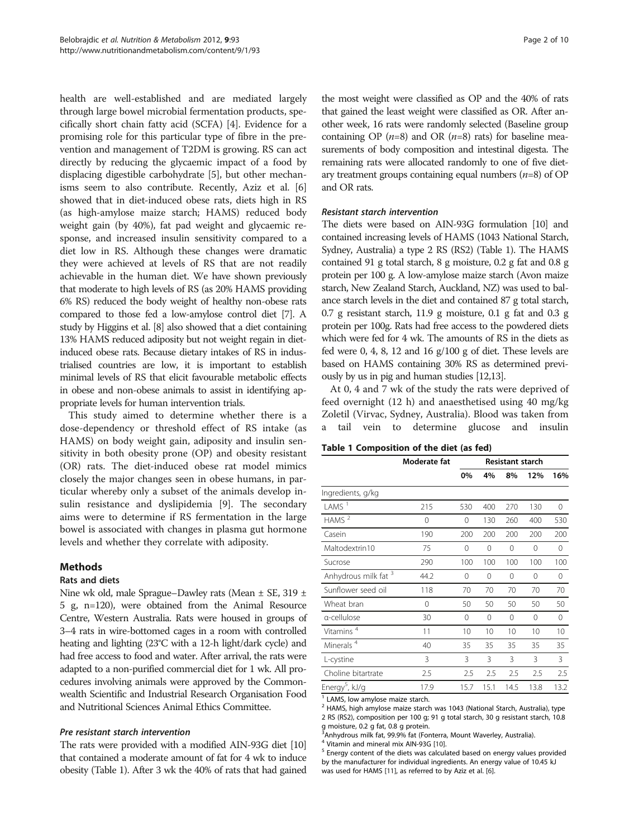health are well-established and are mediated largely through large bowel microbial fermentation products, specifically short chain fatty acid (SCFA) [[4\]](#page-9-0). Evidence for a promising role for this particular type of fibre in the prevention and management of T2DM is growing. RS can act directly by reducing the glycaemic impact of a food by displacing digestible carbohydrate [\[5](#page-9-0)], but other mechanisms seem to also contribute. Recently, Aziz et al. [[6](#page-9-0)] showed that in diet-induced obese rats, diets high in RS (as high-amylose maize starch; HAMS) reduced body weight gain (by 40%), fat pad weight and glycaemic response, and increased insulin sensitivity compared to a diet low in RS. Although these changes were dramatic they were achieved at levels of RS that are not readily achievable in the human diet. We have shown previously that moderate to high levels of RS (as 20% HAMS providing 6% RS) reduced the body weight of healthy non-obese rats compared to those fed a low-amylose control diet [[7](#page-9-0)]. A study by Higgins et al. [\[8\]](#page-9-0) also showed that a diet containing 13% HAMS reduced adiposity but not weight regain in dietinduced obese rats. Because dietary intakes of RS in industrialised countries are low, it is important to establish minimal levels of RS that elicit favourable metabolic effects in obese and non-obese animals to assist in identifying appropriate levels for human intervention trials.

This study aimed to determine whether there is a dose-dependency or threshold effect of RS intake (as HAMS) on body weight gain, adiposity and insulin sensitivity in both obesity prone (OP) and obesity resistant (OR) rats. The diet-induced obese rat model mimics closely the major changes seen in obese humans, in particular whereby only a subset of the animals develop insulin resistance and dyslipidemia [[9\]](#page-9-0). The secondary aims were to determine if RS fermentation in the large bowel is associated with changes in plasma gut hormone levels and whether they correlate with adiposity.

# Methods

# Rats and diets

Nine wk old, male Sprague–Dawley rats (Mean ± SE, 319 ± 5 g, n=120), were obtained from the Animal Resource Centre, Western Australia. Rats were housed in groups of 3–4 rats in wire-bottomed cages in a room with controlled heating and lighting (23°C with a 12-h light/dark cycle) and had free access to food and water. After arrival, the rats were adapted to a non-purified commercial diet for 1 wk. All procedures involving animals were approved by the Commonwealth Scientific and Industrial Research Organisation Food and Nutritional Sciences Animal Ethics Committee.

# Pre resistant starch intervention

The rats were provided with a modified AIN-93G diet [\[10](#page-9-0)] that contained a moderate amount of fat for 4 wk to induce obesity (Table 1). After 3 wk the 40% of rats that had gained

the most weight were classified as OP and the 40% of rats that gained the least weight were classified as OR. After another week, 16 rats were randomly selected (Baseline group containing OP  $(n=8)$  and OR  $(n=8)$  rats) for baseline measurements of body composition and intestinal digesta. The remaining rats were allocated randomly to one of five dietary treatment groups containing equal numbers  $(n=8)$  of OP and OR rats.

#### Resistant starch intervention

The diets were based on AIN-93G formulation [\[10](#page-9-0)] and contained increasing levels of HAMS (1043 National Starch, Sydney, Australia) a type 2 RS (RS2) (Table 1). The HAMS contained 91 g total starch, 8 g moisture, 0.2 g fat and 0.8 g protein per 100 g. A low-amylose maize starch (Avon maize starch, New Zealand Starch, Auckland, NZ) was used to balance starch levels in the diet and contained 87 g total starch, 0.7 g resistant starch, 11.9 g moisture, 0.1 g fat and 0.3 g protein per 100g. Rats had free access to the powdered diets which were fed for 4 wk. The amounts of RS in the diets as fed were 0, 4, 8, 12 and 16  $g/100$  g of diet. These levels are based on HAMS containing 30% RS as determined previously by us in pig and human studies [[12,13](#page-9-0)].

At 0, 4 and 7 wk of the study the rats were deprived of feed overnight (12 h) and anaesthetised using 40 mg/kg Zoletil (Virvac, Sydney, Australia). Blood was taken from a tail vein to determine glucose and insulin

|  | Table 1 Composition of the diet (as fed) |  |  |  |
|--|------------------------------------------|--|--|--|
|--|------------------------------------------|--|--|--|

|                                  | Moderate fat |          | Resistant starch |          |          |      |  |  |
|----------------------------------|--------------|----------|------------------|----------|----------|------|--|--|
|                                  |              | 0%       | 4%               | 8%       | 12%      | 16%  |  |  |
| Ingredients, g/kg                |              |          |                  |          |          |      |  |  |
| LAMS $1$                         | 215          | 530      | 400              | 270      | 130      | 0    |  |  |
| HAMS $2$                         | 0            | 0        | 130              | 260      | 400      | 530  |  |  |
| Casein                           | 190          | 200      | 200              | 200      | 200      | 200  |  |  |
| Maltodextrin10                   | 75           | $\Omega$ | $\Omega$         | $\Omega$ | $\Omega$ | 0    |  |  |
| Sucrose                          | 290          | 100      | 100              | 100      | 100      | 100  |  |  |
| Anhydrous milk fat 3             | 44.2         | 0        | 0                | 0        | 0        | 0    |  |  |
| Sunflower seed oil               | 118          | 70       | 70               | 70       | 70       | 70   |  |  |
| Wheat bran                       | 0            | 50       | 50               | 50       | 50       | 50   |  |  |
| a-cellulose                      | 30           | $\Omega$ | 0                | 0        | 0        | 0    |  |  |
| Vitamins <sup>4</sup>            | 11           | 10       | 10               | 10       | 10       | 10   |  |  |
| Minerals <sup>4</sup>            | 40           | 35       | 35               | 35       | 35       | 35   |  |  |
| L-cystine                        | 3            | 3        | 3                | 3        | 3        | 3    |  |  |
| Choline bitartrate               | 2.5          | 2.5      | 2.5              | 2.5      | 2.5      | 2.5  |  |  |
| Energy <sup>5</sup> , kJ/g       | 17.9         | 15.7     | 15.1             | 14.5     | 13.8     | 13.2 |  |  |
| $1.000$ low amiless mains starsh |              |          |                  |          |          |      |  |  |

LAMS, low amylose maize starch.

<sup>2</sup> HAMS, high amylose maize starch was 1043 (National Starch, Australia), type 2 RS (RS2), composition per 100 g; 91 g total starch, 30 g resistant starch, 10.8

g moisture, 0.2 g fat, 0.8 g protein. 3 Anhydrous milk fat, 99.9% fat (Fonterra, Mount Waverley, Australia).

<sup>4</sup> Vitamin and mineral mix AIN-93G [[10\]](#page-9-0).<br><sup>5</sup> Energy content of the diets was calculated based on energy values provided by the manufacturer for individual ingredients. An energy value of 10.45 kJ was used for HAMS [\[11](#page-9-0)], as referred to by Aziz et al. [\[6\]](#page-9-0).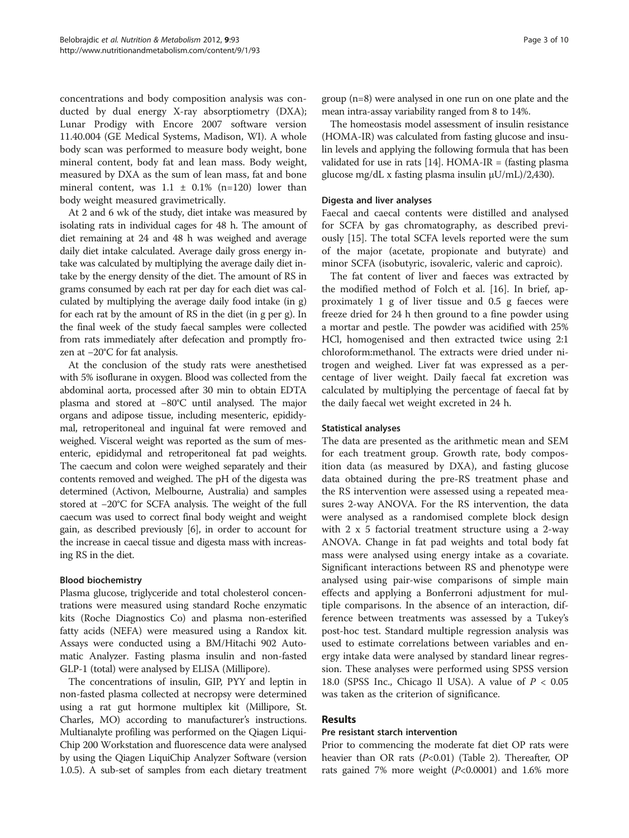concentrations and body composition analysis was conducted by dual energy X-ray absorptiometry (DXA); Lunar Prodigy with Encore 2007 software version 11.40.004 (GE Medical Systems, Madison, WI). A whole body scan was performed to measure body weight, bone mineral content, body fat and lean mass. Body weight, measured by DXA as the sum of lean mass, fat and bone mineral content, was  $1.1 \pm 0.1\%$  (n=120) lower than body weight measured gravimetrically.

At 2 and 6 wk of the study, diet intake was measured by isolating rats in individual cages for 48 h. The amount of diet remaining at 24 and 48 h was weighed and average daily diet intake calculated. Average daily gross energy intake was calculated by multiplying the average daily diet intake by the energy density of the diet. The amount of RS in grams consumed by each rat per day for each diet was calculated by multiplying the average daily food intake (in g) for each rat by the amount of RS in the diet (in g per g). In the final week of the study faecal samples were collected from rats immediately after defecation and promptly frozen at −20°C for fat analysis.

At the conclusion of the study rats were anesthetised with 5% isoflurane in oxygen. Blood was collected from the abdominal aorta, processed after 30 min to obtain EDTA plasma and stored at −80°C until analysed. The major organs and adipose tissue, including mesenteric, epididymal, retroperitoneal and inguinal fat were removed and weighed. Visceral weight was reported as the sum of mesenteric, epididymal and retroperitoneal fat pad weights. The caecum and colon were weighed separately and their contents removed and weighed. The pH of the digesta was determined (Activon, Melbourne, Australia) and samples stored at −20°C for SCFA analysis. The weight of the full caecum was used to correct final body weight and weight gain, as described previously [\[6](#page-9-0)], in order to account for the increase in caecal tissue and digesta mass with increasing RS in the diet.

#### Blood biochemistry

Plasma glucose, triglyceride and total cholesterol concentrations were measured using standard Roche enzymatic kits (Roche Diagnostics Co) and plasma non-esterified fatty acids (NEFA) were measured using a Randox kit. Assays were conducted using a BM/Hitachi 902 Automatic Analyzer. Fasting plasma insulin and non-fasted GLP-1 (total) were analysed by ELISA (Millipore).

The concentrations of insulin, GIP, PYY and leptin in non-fasted plasma collected at necropsy were determined using a rat gut hormone multiplex kit (Millipore, St. Charles, MO) according to manufacturer's instructions. Multianalyte profiling was performed on the Qiagen Liqui-Chip 200 Workstation and fluorescence data were analysed by using the Qiagen LiquiChip Analyzer Software (version 1.0.5). A sub-set of samples from each dietary treatment group (n=8) were analysed in one run on one plate and the mean intra-assay variability ranged from 8 to 14%.

The homeostasis model assessment of insulin resistance (HOMA-IR) was calculated from fasting glucose and insulin levels and applying the following formula that has been validated for use in rats  $[14]$ . HOMA-IR = (fasting plasma glucose mg/dL x fasting plasma insulin μU/mL)/2,430).

#### Digesta and liver analyses

Faecal and caecal contents were distilled and analysed for SCFA by gas chromatography, as described previously [\[15](#page-9-0)]. The total SCFA levels reported were the sum of the major (acetate, propionate and butyrate) and minor SCFA (isobutyric, isovaleric, valeric and caproic).

The fat content of liver and faeces was extracted by the modified method of Folch et al. [\[16](#page-9-0)]. In brief, approximately 1 g of liver tissue and 0.5 g faeces were freeze dried for 24 h then ground to a fine powder using a mortar and pestle. The powder was acidified with 25% HCl, homogenised and then extracted twice using 2:1 chloroform:methanol. The extracts were dried under nitrogen and weighed. Liver fat was expressed as a percentage of liver weight. Daily faecal fat excretion was calculated by multiplying the percentage of faecal fat by the daily faecal wet weight excreted in 24 h.

#### Statistical analyses

The data are presented as the arithmetic mean and SEM for each treatment group. Growth rate, body composition data (as measured by DXA), and fasting glucose data obtained during the pre-RS treatment phase and the RS intervention were assessed using a repeated measures 2-way ANOVA. For the RS intervention, the data were analysed as a randomised complete block design with 2 x 5 factorial treatment structure using a 2-way ANOVA. Change in fat pad weights and total body fat mass were analysed using energy intake as a covariate. Significant interactions between RS and phenotype were analysed using pair-wise comparisons of simple main effects and applying a Bonferroni adjustment for multiple comparisons. In the absence of an interaction, difference between treatments was assessed by a Tukey's post-hoc test. Standard multiple regression analysis was used to estimate correlations between variables and energy intake data were analysed by standard linear regression. These analyses were performed using SPSS version 18.0 (SPSS Inc., Chicago Il USA). A value of  $P < 0.05$ was taken as the criterion of significance.

# Results

# Pre resistant starch intervention

Prior to commencing the moderate fat diet OP rats were heavier than OR rats  $(P<0.01)$  (Table [2\)](#page-3-0). Thereafter, OP rats gained 7% more weight  $(P<0.0001)$  and 1.6% more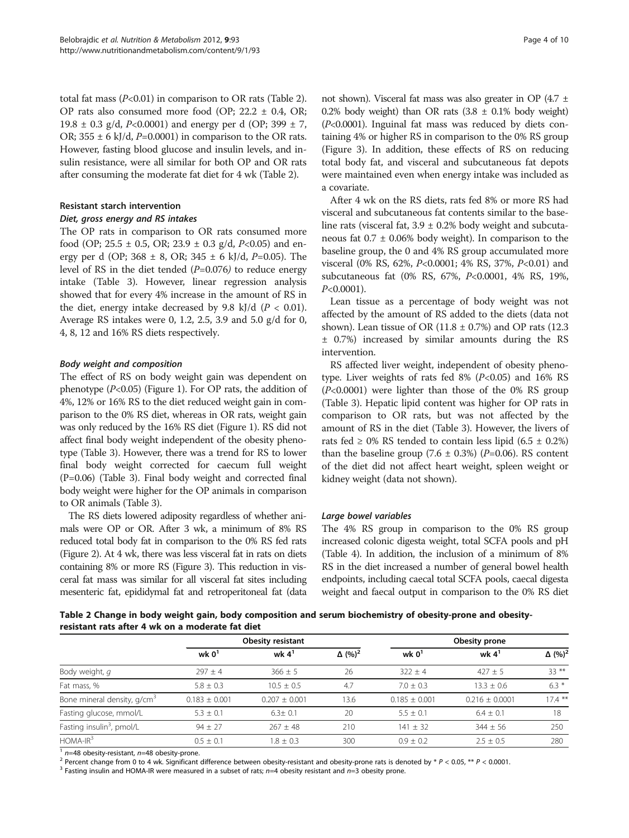<span id="page-3-0"></span>total fat mass  $(P<0.01)$  in comparison to OR rats (Table 2). OP rats also consumed more food (OP; 22.2 ± 0.4, OR; 19.8  $\pm$  0.3 g/d, P<0.0001) and energy per d (OP; 399  $\pm$  7, OR;  $355 \pm 6$  kJ/d, P=0.0001) in comparison to the OR rats. However, fasting blood glucose and insulin levels, and insulin resistance, were all similar for both OP and OR rats after consuming the moderate fat diet for 4 wk (Table 2).

#### Resistant starch intervention

#### Diet, gross energy and RS intakes

The OP rats in comparison to OR rats consumed more food (OP;  $25.5 \pm 0.5$ , OR;  $23.9 \pm 0.3$  g/d,  $P<0.05$ ) and energy per d (OP;  $368 \pm 8$ , OR;  $345 \pm 6$  kJ/d, P=0.05). The level of RS in the diet tended  $(P=0.076)$  to reduce energy intake (Table [3](#page-4-0)). However, linear regression analysis showed that for every 4% increase in the amount of RS in the diet, energy intake decreased by 9.8 kJ/d  $(P < 0.01)$ . Average RS intakes were 0, 1.2, 2.5, 3.9 and 5.0 g/d for 0, 4, 8, 12 and 16% RS diets respectively.

#### Body weight and composition

The effect of RS on body weight gain was dependent on phenotype  $(P<0.05)$  (Figure [1](#page-4-0)). For OP rats, the addition of 4%, 12% or 16% RS to the diet reduced weight gain in comparison to the 0% RS diet, whereas in OR rats, weight gain was only reduced by the 16% RS diet (Figure [1\)](#page-4-0). RS did not affect final body weight independent of the obesity phenotype (Table [3\)](#page-4-0). However, there was a trend for RS to lower final body weight corrected for caecum full weight (P=0.06) (Table [3](#page-4-0)). Final body weight and corrected final body weight were higher for the OP animals in comparison to OR animals (Table [3](#page-4-0)).

The RS diets lowered adiposity regardless of whether animals were OP or OR. After 3 wk, a minimum of 8% RS reduced total body fat in comparison to the 0% RS fed rats (Figure [2](#page-5-0)). At 4 wk, there was less visceral fat in rats on diets containing 8% or more RS (Figure [3](#page-6-0)). This reduction in visceral fat mass was similar for all visceral fat sites including mesenteric fat, epididymal fat and retroperitoneal fat (data

not shown). Visceral fat mass was also greater in OP (4.7 ± 0.2% body weight) than OR rats  $(3.8 \pm 0.1\%)$  body weight) (P<0.0001). Inguinal fat mass was reduced by diets containing 4% or higher RS in comparison to the 0% RS group (Figure [3](#page-6-0)). In addition, these effects of RS on reducing total body fat, and visceral and subcutaneous fat depots were maintained even when energy intake was included as a covariate.

After 4 wk on the RS diets, rats fed 8% or more RS had visceral and subcutaneous fat contents similar to the baseline rats (visceral fat,  $3.9 \pm 0.2\%$  body weight and subcutaneous fat  $0.7 \pm 0.06\%$  body weight). In comparison to the baseline group, the 0 and 4% RS group accumulated more visceral (0% RS, 62%, P<0.0001; 4% RS, 37%, P<0.01) and subcutaneous fat (0% RS, 67%, P<0.0001, 4% RS, 19%, P<0.0001).

Lean tissue as a percentage of body weight was not affected by the amount of RS added to the diets (data not shown). Lean tissue of OR (11.8  $\pm$  0.7%) and OP rats (12.3 ± 0.7%) increased by similar amounts during the RS intervention.

RS affected liver weight, independent of obesity phenotype. Liver weights of rats fed  $8\%$  ( $P<0.05$ ) and  $16\%$  RS (P<0.0001) were lighter than those of the 0% RS group (Table [3\)](#page-4-0). Hepatic lipid content was higher for OP rats in comparison to OR rats, but was not affected by the amount of RS in the diet (Table [3](#page-4-0)). However, the livers of rats fed  $\geq$  0% RS tended to contain less lipid (6.5  $\pm$  0.2%) than the baseline group  $(7.6 \pm 0.3\%)$  (P=0.06). RS content of the diet did not affect heart weight, spleen weight or kidney weight (data not shown).

# Large bowel variables

The 4% RS group in comparison to the 0% RS group increased colonic digesta weight, total SCFA pools and pH (Table [4\)](#page-7-0). In addition, the inclusion of a minimum of 8% RS in the diet increased a number of general bowel health endpoints, including caecal total SCFA pools, caecal digesta weight and faecal output in comparison to the 0% RS diet

Table 2 Change in body weight gain, body composition and serum biochemistry of obesity-prone and obesityresistant rats after 4 wk on a moderate fat diet

|                                         |                   | <b>Obesity resistant</b> |                           | Obesity prone   |                  |                           |  |
|-----------------------------------------|-------------------|--------------------------|---------------------------|-----------------|------------------|---------------------------|--|
|                                         | wk $01$           | wk $4^1$                 | $\Delta$ (%) <sup>2</sup> | wk $01$         | wk $41$          | $\Delta$ (%) <sup>2</sup> |  |
| Body weight, q                          | $297 + 4$         | $366 + 5$                | 26                        | $322 + 4$       | $427 + 5$        | $33***$                   |  |
| Fat mass, %                             | $5.8 \pm 0.3$     | $10.5 + 0.5$             | 4.7                       | $7.0 + 0.3$     | $13.3 \pm 0.6$   | $6.3*$                    |  |
| Bone mineral density, g/cm <sup>3</sup> | $0.183 \pm 0.001$ | $0.207 + 0.001$          | 13.6                      | $0.185 + 0.001$ | $0.216 + 0.0001$ | $17.4***$                 |  |
| Fasting glucose, mmol/L                 | $5.3 \pm 0.1$     | $6.3 \pm 0.1$            | 20                        | $5.5 + 0.1$     | $6.4 + 0.1$      | 18                        |  |
| Fasting insulin <sup>3</sup> , pmol/L   | $94 + 27$         | $267 + 48$               | 210                       | $141 \pm 32$    | $344 \pm 56$     | 250                       |  |
| $HOMA-IR3$                              | $0.5 + 0.1$       | $1.8 + 0.3$              | 300                       | $0.9 + 0.2$     | $2.5 + 0.5$      | 280                       |  |

<sup>1</sup> n=48 obesity-resistant, n=48 obesity-prone.<br><sup>2</sup> Percent change from 0 to 4 wk. Significant difference between obesity-resistant and obesity-prone rats is denoted by \* P < 0.05, \*\* P < 0.0001.<br><sup>3</sup> Fasting insulin and H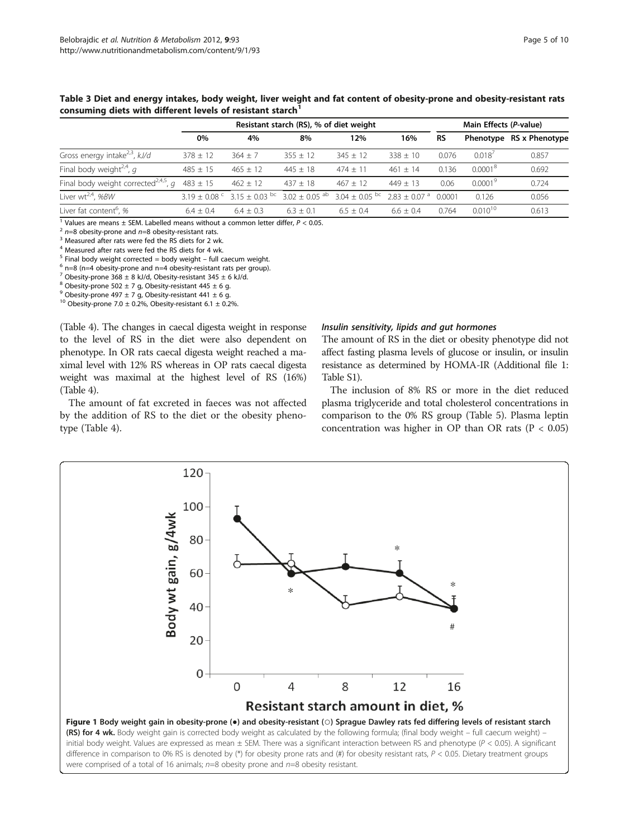|                                                  | Resistant starch (RS), % of diet weight |                                                 |                             |                                             |             | Main Effects (P-value) |                     |                          |
|--------------------------------------------------|-----------------------------------------|-------------------------------------------------|-----------------------------|---------------------------------------------|-------------|------------------------|---------------------|--------------------------|
|                                                  | 0%                                      | 4%                                              | 8%                          | 12%                                         | 16%         | <b>RS</b>              |                     | Phenotype RS x Phenotype |
| Gross energy intake <sup>2,3</sup> , $kJ/d$      | $378 \pm 12$                            | $364 + 7$                                       | $355 + 12$                  | $345 + 12$                                  | $338 + 10$  | 0.076                  | 0.018'              | 0.857                    |
| Final body weight <sup>2,4</sup> , q             | $485 \pm 15$                            | $465 + 12$                                      | $445 + 18$                  | $474 + 11$                                  | $461 + 14$  | 0.136                  | 0.0001 <sup>8</sup> | 0.692                    |
| Final body weight corrected <sup>2,4,5</sup> , q | $483 \pm 15$                            | $462 \pm 12$                                    | $437 + 18$                  | $467 + 12$                                  | $449 + 13$  | 0.06                   | 0.0001 <sup>9</sup> | 0.724                    |
| Liver wt <sup>2,4</sup> , %BW                    |                                         | $3.19 \pm 0.08$ ° 3.15 $\pm$ 0.03 <sup>bc</sup> | $3.02 + 0.05$ <sup>ab</sup> | $3.04 + 0.05$ bc $2.83 + 0.07$ <sup>a</sup> |             | 0.0001                 | 0.126               | 0.056                    |
| Liver fat content <sup>6</sup> , %               | $6.4 \pm 0.4$                           | $64 + 03$                                       | $6.3 \pm 0.1$               | $6.5 \pm 0.4$                               | $6.6 + 0.4$ | 0.764                  | $0.010^{10}$        | 0.613                    |

<span id="page-4-0"></span>Table 3 Diet and energy intakes, body weight, liver weight and fat content of obesity-prone and obesity-resistant rats consuming diets with different levels of resistant starch<sup>1</sup>

<sup>1</sup> Values are means ± SEM. Labelled means without a common letter differ,  $P < 0.05$ .<br>
<sup>2</sup> n=8 obesity-prone and n=8 obesity-resistant rats.<br>
<sup>3</sup> Measured after rats were fed the RS diets for 2 wk.

<sup>4</sup> Measured after rats were fed the RS diets for 4 wk.

<sup>5</sup> Final body weight corrected = body weight – full caecum weight.<br><sup>6</sup> n=8 (n=4 obesity-prone and n=4 obesity-resistant rats per group).

<sup>7</sup> Obesity-prone 368  $\pm$  8 kJ/d, Obesity-resistant 345  $\pm$  6 kJ/d.

 $8$  Obesity-prone 502  $\pm$  7 g, Obesity-resistant 445  $\pm$  6 g.

<sup>9</sup> Obesity-prone 497  $\pm$  7 g, Obesity-resistant 441  $\pm$  6 g.

<sup>10</sup> Obesity-prone 7.0  $\pm$  0.2%, Obesity-resistant 6.1  $\pm$  0.2%.

(Table [4\)](#page-7-0). The changes in caecal digesta weight in response to the level of RS in the diet were also dependent on phenotype. In OR rats caecal digesta weight reached a maximal level with 12% RS whereas in OP rats caecal digesta weight was maximal at the highest level of RS (16%) (Table [4](#page-7-0)).

The amount of fat excreted in faeces was not affected by the addition of RS to the diet or the obesity phenotype (Table [4](#page-7-0)).

#### Insulin sensitivity, lipids and gut hormones

The amount of RS in the diet or obesity phenotype did not affect fasting plasma levels of glucose or insulin, or insulin resistance as determined by HOMA-IR ([Additional file 1:](#page-8-0) [Table S1](#page-8-0)).

The inclusion of 8% RS or more in the diet reduced plasma triglyceride and total cholesterol concentrations in comparison to the 0% RS group (Table [5\)](#page-7-0). Plasma leptin concentration was higher in OP than OR rats ( $P < 0.05$ )

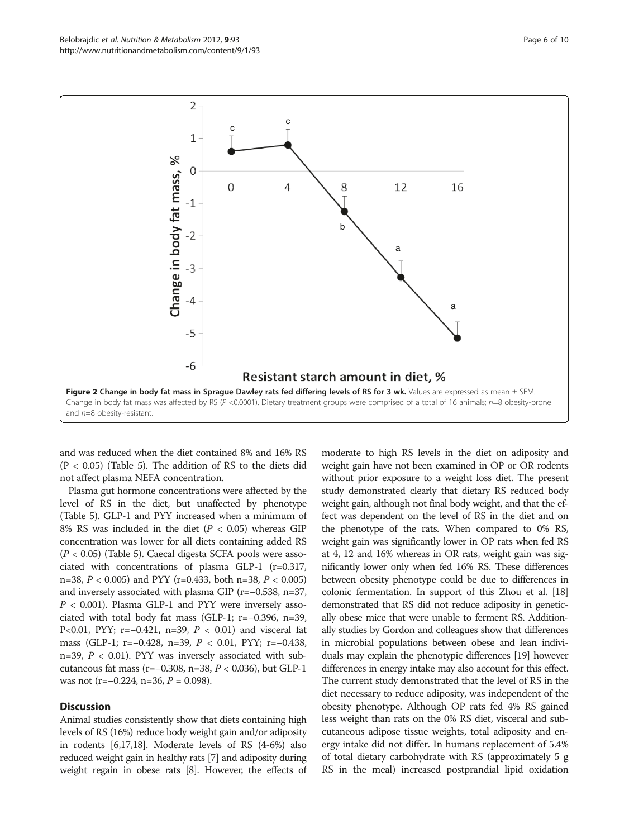<span id="page-5-0"></span>

and was reduced when the diet contained 8% and 16% RS  $(P < 0.05)$  (Table [5\)](#page-7-0). The addition of RS to the diets did not affect plasma NEFA concentration.

Plasma gut hormone concentrations were affected by the level of RS in the diet, but unaffected by phenotype (Table [5](#page-7-0)). GLP-1 and PYY increased when a minimum of 8% RS was included in the diet ( $P < 0.05$ ) whereas GIP concentration was lower for all diets containing added RS (P < 0.05) (Table [5](#page-7-0)). Caecal digesta SCFA pools were associated with concentrations of plasma GLP-1 (r=0.317, n=38,  $P < 0.005$ ) and PYY (r=0.433, both n=38,  $P < 0.005$ ) and inversely associated with plasma GIP (r=−0.538, n=37,  $P < 0.001$ ). Plasma GLP-1 and PYY were inversely associated with total body fat mass (GLP-1; r=−0.396, n=39, P<0.01, PYY; r=−0.421, n=39,  $P < 0.01$ ) and visceral fat mass (GLP-1; r=−0.428, n=39, P < 0.01, PYY; r=−0.438, n=39,  $P < 0.01$ ). PYY was inversely associated with subcutaneous fat mass (r=−0.308, n=38, P < 0.036), but GLP-1 was not (r=−0.224, n=36,  $P = 0.098$ ).

#### **Discussion**

Animal studies consistently show that diets containing high levels of RS (16%) reduce body weight gain and/or adiposity in rodents [[6,17,18](#page-9-0)]. Moderate levels of RS (4-6%) also reduced weight gain in healthy rats [[7](#page-9-0)] and adiposity during weight regain in obese rats [\[8\]](#page-9-0). However, the effects of

moderate to high RS levels in the diet on adiposity and weight gain have not been examined in OP or OR rodents without prior exposure to a weight loss diet. The present study demonstrated clearly that dietary RS reduced body weight gain, although not final body weight, and that the effect was dependent on the level of RS in the diet and on the phenotype of the rats. When compared to 0% RS, weight gain was significantly lower in OP rats when fed RS at 4, 12 and 16% whereas in OR rats, weight gain was significantly lower only when fed 16% RS. These differences between obesity phenotype could be due to differences in colonic fermentation. In support of this Zhou et al. [\[18](#page-9-0)] demonstrated that RS did not reduce adiposity in genetically obese mice that were unable to ferment RS. Additionally studies by Gordon and colleagues show that differences in microbial populations between obese and lean individuals may explain the phenotypic differences [[19](#page-9-0)] however differences in energy intake may also account for this effect. The current study demonstrated that the level of RS in the diet necessary to reduce adiposity, was independent of the obesity phenotype. Although OP rats fed 4% RS gained less weight than rats on the 0% RS diet, visceral and subcutaneous adipose tissue weights, total adiposity and energy intake did not differ. In humans replacement of 5.4% of total dietary carbohydrate with RS (approximately 5 g RS in the meal) increased postprandial lipid oxidation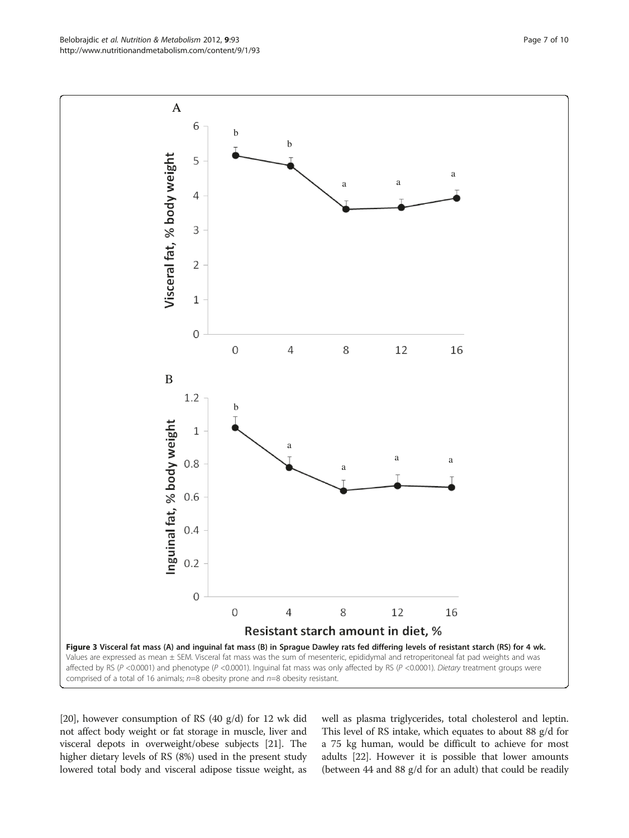[[20](#page-9-0)], however consumption of RS (40 g/d) for 12 wk did not affect body weight or fat storage in muscle, liver and visceral depots in overweight/obese subjects [\[21\]](#page-9-0). The higher dietary levels of RS (8%) used in the present study lowered total body and visceral adipose tissue weight, as

well as plasma triglycerides, total cholesterol and leptin. This level of RS intake, which equates to about 88 g/d for a 75 kg human, would be difficult to achieve for most adults [[22](#page-9-0)]. However it is possible that lower amounts (between 44 and 88 g/d for an adult) that could be readily

<span id="page-6-0"></span>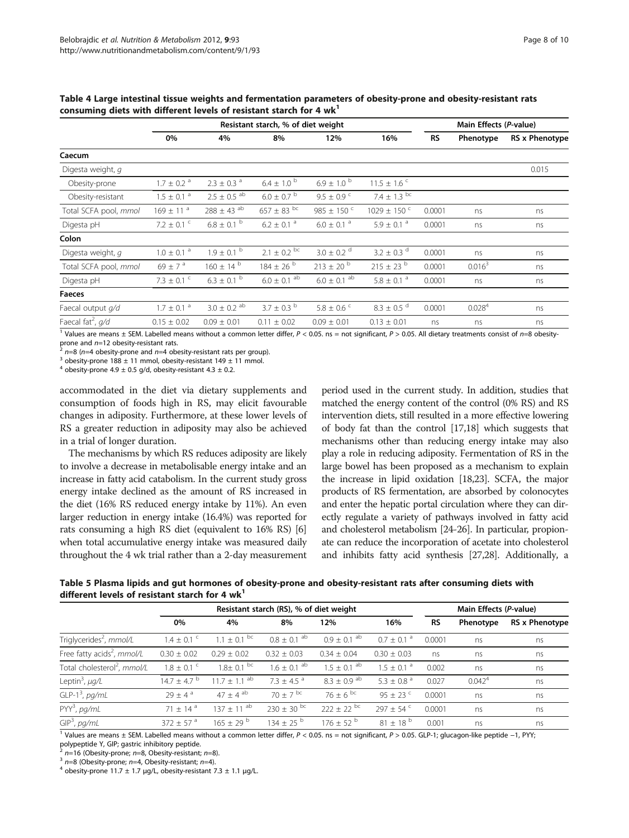|                                 | Resistant starch, % of diet weight |                             |                            |                             |                             |           | Main Effects (P-value) |                |  |
|---------------------------------|------------------------------------|-----------------------------|----------------------------|-----------------------------|-----------------------------|-----------|------------------------|----------------|--|
|                                 | 0%                                 | 4%                          | 8%                         | 12%                         | 16%                         | <b>RS</b> | Phenotype              | RS x Phenotype |  |
| Caecum                          |                                    |                             |                            |                             |                             |           |                        |                |  |
| Digesta weight, q               |                                    |                             |                            |                             |                             |           |                        | 0.015          |  |
| Obesity-prone                   | $1.7 \pm 0.2$ <sup>a</sup>         | $2.3 \pm 0.3$ <sup>a</sup>  | $6.4 \pm 1.0^{\circ}$      | $6.9 \pm 1.0^{b}$           | $11.5 \pm 1.6$ <sup>c</sup> |           |                        |                |  |
| Obesity-resistant               | $1.5 \pm 0.1$ <sup>a</sup>         | $2.5\,\pm\,0.5$ $^{\rm ab}$ | $6.0 \pm 0.7$ b            | $9.5 \pm 0.9$ c             | $7.4 \pm 1.3$ bc            |           |                        |                |  |
| Total SCFA pool, mmol           | $169 \pm 11$ <sup>a</sup>          | $288 \pm 43$ <sup>ab</sup>  | $657\pm83$ $^{\rm bc}$     | 985 $\pm$ 150 $\degree$     | $1029 \pm 150$ c            | 0.0001    | ns                     | ns             |  |
| Digesta pH                      | $7.2 \pm 0.1$ $\degree$            | $6.8\pm0.1$ $^{\rm b}$      | $6.2\,\pm\,0.1$ $^{\rm a}$ | $6.0 \pm 0.1$ <sup>a</sup>  | $5.9 \pm 0.1$ <sup>a</sup>  | 0.0001    | ns                     | ns             |  |
| Colon                           |                                    |                             |                            |                             |                             |           |                        |                |  |
| Digesta weight, q               | $1.0\,\pm\,0.1$ $^{\rm a}$         | $1.9\pm0.1$ $^{\rm b}$      | $2.1 \pm 0.2$ bc           | $3.0 \pm 0.2$ <sup>d</sup>  | $3.2 \pm 0.3$ <sup>d</sup>  | 0.0001    | ns                     | ns             |  |
| Total SCFA pool, mmol           | 69 ± 7 $a$                         | $160 \pm 14^{b}$            | $184 \pm 26$ <sup>b</sup>  | $213 \pm 20$ $^{\rm b}$     | $215 \pm 23$ b              | 0.0001    | 0.016 <sup>3</sup>     | ns             |  |
| Digesta pH                      | $7.3 \pm 0.1$ <sup>c</sup>         | $6.3 \pm 0.1$ b             | $6.0\pm0.1~^{\rm ab}$      | $6.0 \pm 0.1$ <sup>ab</sup> | $5.8 \pm 0.1$ <sup>a</sup>  | 0.0001    | ns                     | ns             |  |
| <b>Faeces</b>                   |                                    |                             |                            |                             |                             |           |                        |                |  |
| Faecal output q/d               | $1.7 \pm 0.1$ <sup>a</sup>         | $3.0 \pm 0.2$ <sup>ab</sup> | $3.7 \pm 0.3$ b            | $5.8 \pm 0.6$ <sup>c</sup>  | $8.3 \pm 0.5$ d             | 0.0001    | $0.028^{4}$            | ns             |  |
| Faecal fat <sup>2</sup> , $q/d$ | $0.15 \pm 0.02$                    | $0.09 \pm 0.01$             | $0.11 \pm 0.02$            | $0.09 \pm 0.01$             | $0.13 \pm 0.01$             | ns        | ns                     | ns             |  |

<span id="page-7-0"></span>Table 4 Large intestinal tissue weights and fermentation parameters of obesity-prone and obesity-resistant rats consuming diets with different levels of resistant starch for 4  $wk<sup>1</sup>$ 

<sup>1</sup> Values are means ± SEM. Labelled means without a common letter differ,  $P < 0.05$ . ns = not significant,  $P > 0.05$ . All dietary treatments consist of  $n=8$  obesity-prone and  $n=12$  obesity-resistant rats.

<sup>2</sup> n=8 (n=4 obesity-prone and n=4 obesity-resistant rats per group). <sup>3</sup> obesity-prone 188 ± 11 mmol, obesity-resistant 149 ± 11 mmol.

<sup>4</sup> obesity-prone 4.9  $\pm$  0.5 g/d, obesity-resistant 4.3  $\pm$  0.2.

accommodated in the diet via dietary supplements and consumption of foods high in RS, may elicit favourable changes in adiposity. Furthermore, at these lower levels of RS a greater reduction in adiposity may also be achieved in a trial of longer duration.

The mechanisms by which RS reduces adiposity are likely to involve a decrease in metabolisable energy intake and an increase in fatty acid catabolism. In the current study gross energy intake declined as the amount of RS increased in the diet (16% RS reduced energy intake by 11%). An even larger reduction in energy intake (16.4%) was reported for rats consuming a high RS diet (equivalent to 16% RS) [[6](#page-9-0)] when total accumulative energy intake was measured daily throughout the 4 wk trial rather than a 2-day measurement

period used in the current study. In addition, studies that matched the energy content of the control (0% RS) and RS intervention diets, still resulted in a more effective lowering of body fat than the control [\[17,18\]](#page-9-0) which suggests that mechanisms other than reducing energy intake may also play a role in reducing adiposity. Fermentation of RS in the large bowel has been proposed as a mechanism to explain the increase in lipid oxidation [[18,23\]](#page-9-0). SCFA, the major products of RS fermentation, are absorbed by colonocytes and enter the hepatic portal circulation where they can directly regulate a variety of pathways involved in fatty acid and cholesterol metabolism [\[24-26](#page-9-0)]. In particular, propionate can reduce the incorporation of acetate into cholesterol and inhibits fatty acid synthesis [\[27,28](#page-9-0)]. Additionally, a

Table 5 Plasma lipids and gut hormones of obesity-prone and obesity-resistant rats after consuming diets with different levels of resistant starch for 4  $wk<sup>1</sup>$ 

|                                         | Resistant starch (RS), % of diet weight |                              |                             |                           |                            | Main Effects (P-value) |                    |                       |
|-----------------------------------------|-----------------------------------------|------------------------------|-----------------------------|---------------------------|----------------------------|------------------------|--------------------|-----------------------|
|                                         | 0%                                      | 4%                           | 8%                          | 12%                       | 16%                        | RS                     | Phenotype          | <b>RS x Phenotype</b> |
| Triglycerides <sup>2</sup> , mmol/L     | $1.4 \pm 0.1$ <sup>c</sup>              | $1.1 + 0.1^{bc}$             | $0.8 \pm 0.1$ <sup>ab</sup> | $0.9 + 0.1$ <sup>ab</sup> | $0.7 + 0.1$ <sup>a</sup>   | 0.0001                 | ns                 | ns                    |
| Free fatty acids <sup>2</sup> , mmol/L  | $0.30 \pm 0.02$                         | $0.29 \pm 0.02$              | $0.32 \pm 0.03$             | $0.34 + 0.04$             | $0.30 \pm 0.03$            | ns                     | ns                 | ns                    |
| Total cholesterol <sup>2</sup> , mmol/L | $1.8 \pm 0.1$ <sup>c</sup>              | $1.8 \pm 0.1$ bc             | $1.6 + 0.1$ <sup>ab</sup>   | $1.5 + 0.1$ <sup>ab</sup> | $1.5 \pm 0.1$ <sup>a</sup> | 0.002                  | ns                 | ns                    |
| Leptin <sup>3</sup> , $\mu g/L$         | $14.7 \pm 4.7$ <sup>b</sup>             | $11.7 \pm 1.1$ <sup>ab</sup> | $7.3 + 4.5$ <sup>a</sup>    | $8.3 + 0.9$ <sup>ab</sup> | $5.3 + 0.8$ <sup>a</sup>   | 0.027                  | 0.042 <sup>4</sup> | ns                    |
| $GLP-13$ , pg/mL                        | $79 + 4^a$                              | $47 + 4^{ab}$                | $70 \pm 7$ bc               | $76 + 6^{bc}$             | $95 + 23$ <sup>c</sup>     | 0.0001                 | ns                 | ns                    |
| PYY <sup>3</sup> , pg/mL                | $71 + 14^{a}$                           | $137 \pm 11^{ab}$            | $230 + 30^{bc}$             | $222 \pm 22$ bc           | $297 + 54$ <sup>c</sup>    | 0.0001                 | ns                 | ns                    |
| $GIP3$ , pg/mL                          | $372 + 57^{\circ}$                      | $165 \pm 29^{b}$             | $134 \pm 25$ b              | $176 \pm 52$ b            | $81 + 18^{b}$              | 0.001                  | ns                 | ns                    |

<sup>1</sup> Values are means ± SEM. Labelled means without a common letter differ, P < 0.05. ns = not significant, P > 0.05. GLP-1; glucagon-like peptide −1, PYY;

polypeptide Y, GIP; gastric inhibitory peptide.

<sup>2</sup> n=16 (Obesity-prone; n=8, Obesity-resistant; n=8).<br>
<sup>3</sup> n=8 (Obesity-prone; n=4, Obesity-resistant; n=4).<br>
<sup>4</sup> obesity-prone 11.7 ± 1.7 μg/L, obesity-resistant 7.3 ± 1.1 μg/L.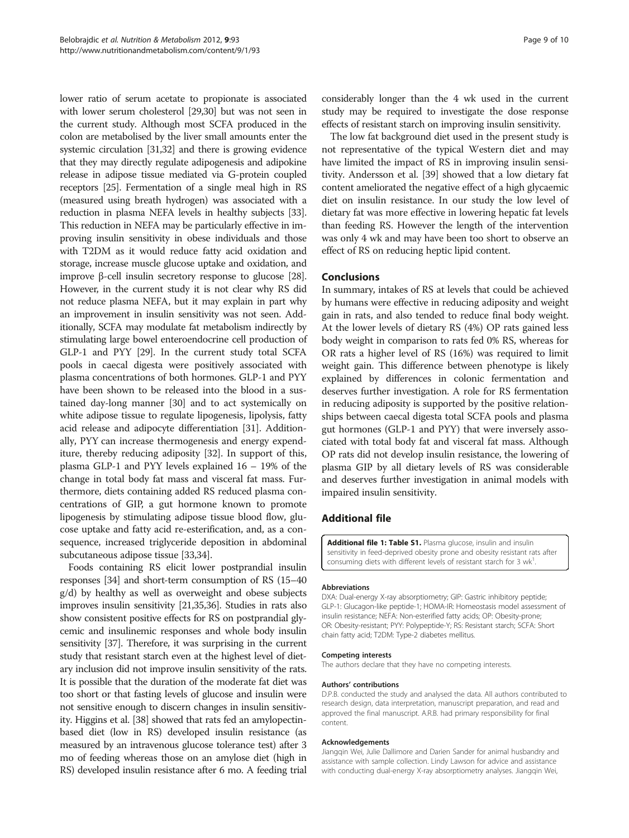<span id="page-8-0"></span>lower ratio of serum acetate to propionate is associated with lower serum cholesterol [\[29,30](#page-9-0)] but was not seen in the current study. Although most SCFA produced in the colon are metabolised by the liver small amounts enter the systemic circulation [\[31,32\]](#page-9-0) and there is growing evidence that they may directly regulate adipogenesis and adipokine release in adipose tissue mediated via G-protein coupled receptors [\[25\]](#page-9-0). Fermentation of a single meal high in RS (measured using breath hydrogen) was associated with a reduction in plasma NEFA levels in healthy subjects [\[33](#page-9-0)]. This reduction in NEFA may be particularly effective in improving insulin sensitivity in obese individuals and those with T2DM as it would reduce fatty acid oxidation and storage, increase muscle glucose uptake and oxidation, and improve β-cell insulin secretory response to glucose [\[28](#page-9-0)]. However, in the current study it is not clear why RS did not reduce plasma NEFA, but it may explain in part why an improvement in insulin sensitivity was not seen. Additionally, SCFA may modulate fat metabolism indirectly by stimulating large bowel enteroendocrine cell production of GLP-1 and PYY [[29](#page-9-0)]. In the current study total SCFA pools in caecal digesta were positively associated with plasma concentrations of both hormones. GLP-1 and PYY have been shown to be released into the blood in a sustained day-long manner [\[30\]](#page-9-0) and to act systemically on white adipose tissue to regulate lipogenesis, lipolysis, fatty acid release and adipocyte differentiation [[31](#page-9-0)]. Additionally, PYY can increase thermogenesis and energy expenditure, thereby reducing adiposity [\[32\]](#page-9-0). In support of this, plasma GLP-1 and PYY levels explained 16 – 19% of the change in total body fat mass and visceral fat mass. Furthermore, diets containing added RS reduced plasma concentrations of GIP, a gut hormone known to promote lipogenesis by stimulating adipose tissue blood flow, glucose uptake and fatty acid re-esterification, and, as a consequence, increased triglyceride deposition in abdominal subcutaneous adipose tissue [[33,34\]](#page-9-0).

Foods containing RS elicit lower postprandial insulin responses [\[34\]](#page-9-0) and short-term consumption of RS (15–40 g/d) by healthy as well as overweight and obese subjects improves insulin sensitivity [\[21,35,36\]](#page-9-0). Studies in rats also show consistent positive effects for RS on postprandial glycemic and insulinemic responses and whole body insulin sensitivity [[37](#page-9-0)]. Therefore, it was surprising in the current study that resistant starch even at the highest level of dietary inclusion did not improve insulin sensitivity of the rats. It is possible that the duration of the moderate fat diet was too short or that fasting levels of glucose and insulin were not sensitive enough to discern changes in insulin sensitivity. Higgins et al. [\[38\]](#page-9-0) showed that rats fed an amylopectinbased diet (low in RS) developed insulin resistance (as measured by an intravenous glucose tolerance test) after 3 mo of feeding whereas those on an amylose diet (high in RS) developed insulin resistance after 6 mo. A feeding trial considerably longer than the 4 wk used in the current study may be required to investigate the dose response effects of resistant starch on improving insulin sensitivity.

The low fat background diet used in the present study is not representative of the typical Western diet and may have limited the impact of RS in improving insulin sensitivity. Andersson et al. [[39](#page-9-0)] showed that a low dietary fat content ameliorated the negative effect of a high glycaemic diet on insulin resistance. In our study the low level of dietary fat was more effective in lowering hepatic fat levels than feeding RS. However the length of the intervention was only 4 wk and may have been too short to observe an effect of RS on reducing heptic lipid content.

#### Conclusions

In summary, intakes of RS at levels that could be achieved by humans were effective in reducing adiposity and weight gain in rats, and also tended to reduce final body weight. At the lower levels of dietary RS (4%) OP rats gained less body weight in comparison to rats fed 0% RS, whereas for OR rats a higher level of RS (16%) was required to limit weight gain. This difference between phenotype is likely explained by differences in colonic fermentation and deserves further investigation. A role for RS fermentation in reducing adiposity is supported by the positive relationships between caecal digesta total SCFA pools and plasma gut hormones (GLP-1 and PYY) that were inversely associated with total body fat and visceral fat mass. Although OP rats did not develop insulin resistance, the lowering of plasma GIP by all dietary levels of RS was considerable and deserves further investigation in animal models with impaired insulin sensitivity.

# Additional file

[Additional file 1: Table S1.](http://www.biomedcentral.com/content/supplementary/1743-7075-9-93-S1.docx) Plasma glucose, insulin and insulin sensitivity in feed-deprived obesity prone and obesity resistant rats after consuming diets with different levels of resistant starch for 3 wk<sup>1</sup>

#### Abbreviations

DXA: Dual-energy X-ray absorptiometry; GIP: Gastric inhibitory peptide; GLP-1: Glucagon-like peptide-1; HOMA-IR: Homeostasis model assessment of insulin resistance; NEFA: Non-esterified fatty acids; OP: Obesity-prone; OR: Obesity-resistant; PYY: Polypeptide-Y; RS: Resistant starch; SCFA: Short chain fatty acid; T2DM: Type-2 diabetes mellitus.

#### Competing interests

The authors declare that they have no competing interests.

#### Authors' contributions

D.P.B. conducted the study and analysed the data. All authors contributed to research design, data interpretation, manuscript preparation, and read and approved the final manuscript. A.R.B. had primary responsibility for final content.

#### Acknowledgements

Jiangqin Wei, Julie Dallimore and Darien Sander for animal husbandry and assistance with sample collection. Lindy Lawson for advice and assistance with conducting dual-energy X-ray absorptiometry analyses. Jiangqin Wei,